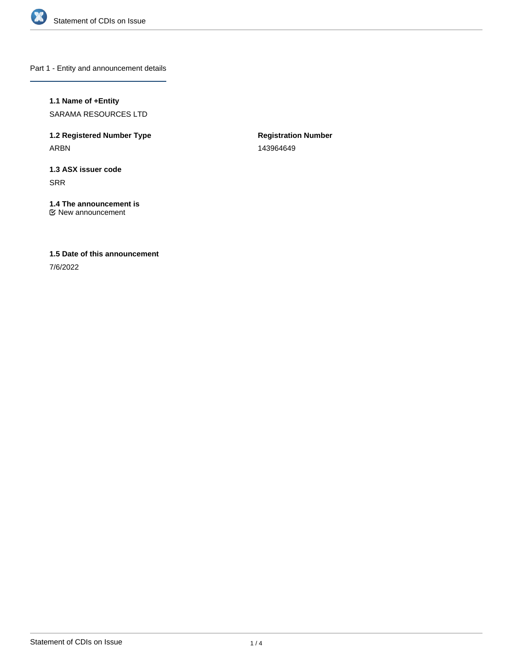

Part 1 - Entity and announcement details

# **1.1 Name of +Entity**

SARAMA RESOURCES LTD

**1.2 Registered Number Type** ARBN

**Registration Number** 143964649

**1.3 ASX issuer code** SRR

**1.4 The announcement is** New announcement

# **1.5 Date of this announcement**

7/6/2022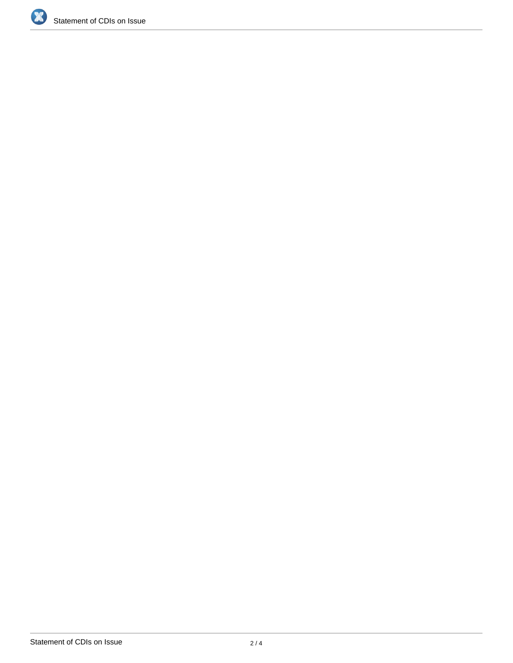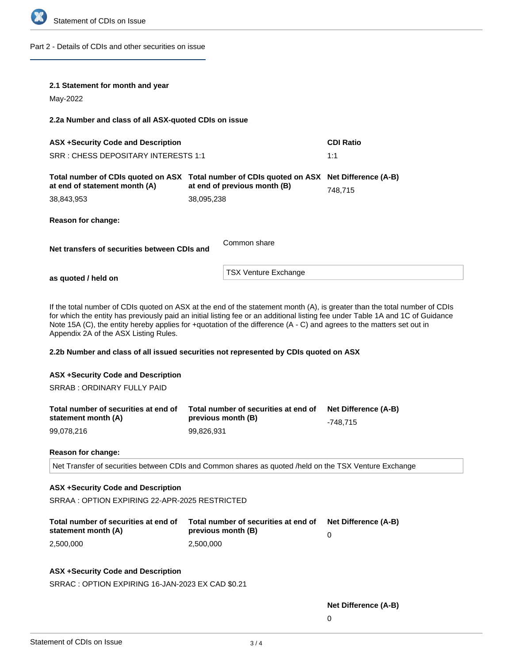

Part 2 - Details of CDIs and other securities on issue

| 2.1 Statement for month and year |  |  |
|----------------------------------|--|--|
|                                  |  |  |

May-2022

# **2.2a Number and class of all ASX-quoted CDIs on issue**

| <b>ASX +Security Code and Description</b>                                                  |                              |                             | <b>CDI Ratio</b> |  |
|--------------------------------------------------------------------------------------------|------------------------------|-----------------------------|------------------|--|
| SRR : CHESS DEPOSITARY INTERESTS 1:1                                                       |                              |                             | 1:1              |  |
| Total number of CDIs quoted on ASX Total number of CDIs quoted on ASX Net Difference (A-B) |                              |                             |                  |  |
| at end of statement month (A)                                                              | at end of previous month (B) |                             | 748.715          |  |
| 38.843.953                                                                                 | 38.095.238                   |                             |                  |  |
| Reason for change:                                                                         |                              |                             |                  |  |
| Net transfers of securities between CDIs and                                               |                              | Common share                |                  |  |
|                                                                                            |                              | TOV <i>Uchtura</i> Evebonas |                  |  |

**as quoted / held on**

TSX Venture Exchange

If the total number of CDIs quoted on ASX at the end of the statement month (A), is greater than the total number of CDIs for which the entity has previously paid an initial listing fee or an additional listing fee under Table 1A and 1C of Guidance Note 15A (C), the entity hereby applies for +quotation of the difference (A - C) and agrees to the matters set out in Appendix 2A of the ASX Listing Rules.

# **2.2b Number and class of all issued securities not represented by CDIs quoted on ASX**

#### **ASX +Security Code and Description**

SRRAB : ORDINARY FULLY PAID

| Total number of securities at end of | Total number of securities at end of | <b>Net Difference (A-B)</b> |  |
|--------------------------------------|--------------------------------------|-----------------------------|--|
| statement month (A)                  | previous month (B)                   | -748.715                    |  |
| 99,078,216                           | 99.826.931                           |                             |  |

#### **Reason for change:**

Net Transfer of securities between CDIs and Common shares as quoted /held on the TSX Venture Exchange

## **ASX +Security Code and Description**

SRRAA : OPTION EXPIRING 22-APR-2025 RESTRICTED

| Total number of securities at end of | Total number of securities at end of | Net Difference (A-B) |  |
|--------------------------------------|--------------------------------------|----------------------|--|
| statement month (A)                  | previous month (B)                   |                      |  |
| 2,500,000                            | 2.500.000                            |                      |  |

## **ASX +Security Code and Description**

SRRAC : OPTION EXPIRING 16-JAN-2023 EX CAD \$0.21

**Net Difference (A-B)**

0